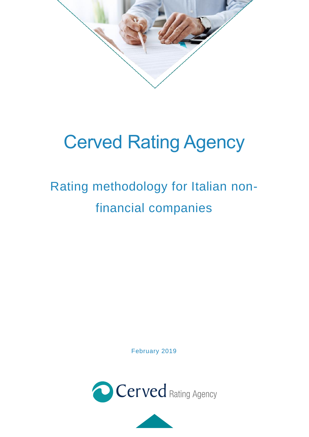

# Cerved Rating Agency

# Rating methodology for Italian nonfinancial companies

February 2019



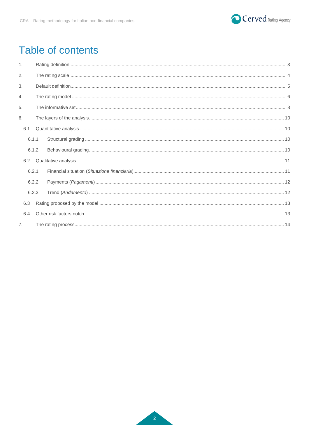

# Table of contents

| $\mathbf{1}$ . |       |  |  |  |  |  |
|----------------|-------|--|--|--|--|--|
| 2.             |       |  |  |  |  |  |
| 3.             |       |  |  |  |  |  |
| 4.             |       |  |  |  |  |  |
| 5.             |       |  |  |  |  |  |
| 6.             |       |  |  |  |  |  |
| 6.1            |       |  |  |  |  |  |
|                | 6.1.1 |  |  |  |  |  |
|                | 6.1.2 |  |  |  |  |  |
| 6.2            |       |  |  |  |  |  |
|                | 6.2.1 |  |  |  |  |  |
|                | 6.2.2 |  |  |  |  |  |
|                | 6.2.3 |  |  |  |  |  |
| 6.3            |       |  |  |  |  |  |
| 6.4            |       |  |  |  |  |  |
| 7.             |       |  |  |  |  |  |

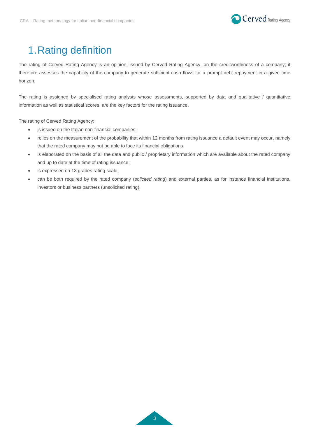

# <span id="page-2-0"></span>1.Rating definition

The rating of Cerved Rating Agency is an opinion, issued by Cerved Rating Agency, on the creditworthiness of a company; it therefore assesses the capability of the company to generate sufficient cash flows for a prompt debt repayment in a given time horizon.

The rating is assigned by specialised rating analysts whose assessments, supported by data and qualitative / quantitative information as well as statistical scores, are the key factors for the rating issuance.

The rating of Cerved Rating Agency:

- is issued on the Italian non-financial companies;
- relies on the measurement of the probability that within 12 months from rating issuance a default event may occur, namely that the rated company may not be able to face its financial obligations;
- is elaborated on the basis of all the data and public / proprietary information which are available about the rated company and up to date at the time of rating issuance;
- is expressed on 13 grades rating scale;
- can be both required by the rated company (*solicited rating*) and external parties, as for instance financial institutions, investors or business partners (unsolicited rating).

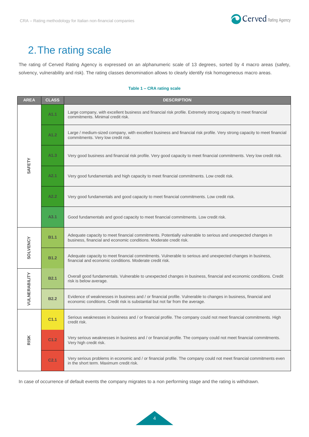

# <span id="page-3-0"></span>2.The rating scale

The rating of Cerved Rating Agency is expressed on an alphanumeric scale of 13 degrees, sorted by 4 macro areas (safety, solvency, vulnerability and risk). The rating classes denomination allows to clearly identify risk homogeneous macro areas.

#### **Table 1 – CRA rating scale**

| <b>AREA</b>     | <b>CLASS</b>     | <b>DESCRIPTION</b>                                                                                                                                                                               |  |  |  |  |
|-----------------|------------------|--------------------------------------------------------------------------------------------------------------------------------------------------------------------------------------------------|--|--|--|--|
|                 | A1.1             | Large company, with excellent business and financial risk profile. Extremely strong capacity to meet financial<br>commitments. Minimal credit risk.                                              |  |  |  |  |
|                 | A1.2             | Large / medium-sized company, with excellent business and financial risk profile. Very strong capacity to meet financial<br>commitments. Very low credit risk.                                   |  |  |  |  |
| SAFETY          | A1.3             | Very good business and financial risk profile. Very good capacity to meet financial commitments. Very low credit risk.                                                                           |  |  |  |  |
|                 | A2.1             | Very good fundamentals and high capacity to meet financial commitments. Low credit risk.                                                                                                         |  |  |  |  |
|                 | A2.2             | Very good fundamentals and good capacity to meet financial commitments. Low credit risk.                                                                                                         |  |  |  |  |
|                 | A3.1             | Good fundamentals and good capacity to meet financial commitments. Low credit risk.                                                                                                              |  |  |  |  |
|                 | <b>B1.1</b>      | Adequate capacity to meet financial commitments. Potentially vulnerable to serious and unexpected changes in<br>business, financial and economic conditions. Moderate credit risk.               |  |  |  |  |
| <b>SOLVENCY</b> | <b>B1.2</b>      | Adequate capacity to meet financial commitments. Vulnerable to serious and unexpected changes in business,<br>financial and economic conditions. Moderate credit risk.                           |  |  |  |  |
|                 | <b>B2.1</b>      | Overall good fundamentals. Vulnerable to unexpected changes in business, financial and economic conditions. Credit<br>risk is below average.                                                     |  |  |  |  |
| VULNERABILITY   | <b>B2.2</b>      | Evidence of weaknesses in business and / or financial profile. Vulnerable to changes in business, financial and<br>economic conditions. Credit risk is substantial but not far from the average. |  |  |  |  |
|                 | C <sub>1.1</sub> | Serious weaknesses in business and / or financial profile. The company could not meet financial commitments. High<br>credit risk.                                                                |  |  |  |  |
| <b>RISK</b>     | C <sub>1.2</sub> | Very serious weaknesses in business and / or financial profile. The company could not meet financial commitments.<br>Very high credit risk.                                                      |  |  |  |  |
|                 | C <sub>2.1</sub> | Very serious problems in economic and / or financial profile. The company could not meet financial commitments even<br>in the short term. Maximum credit risk.                                   |  |  |  |  |

In case of occurrence of default events the company migrates to a non performing stage and the rating is withdrawn.

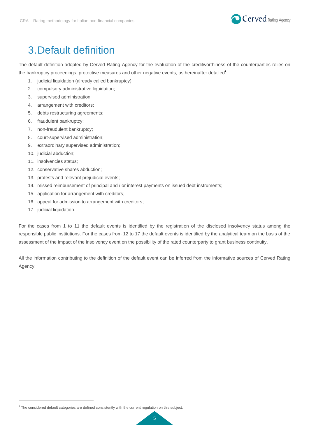

## <span id="page-4-0"></span>3.Default definition

The default definition adopted by Cerved Rating Agency for the evaluation of the creditworthiness of the counterparties relies on the bankruptcy proceedings, protective measures and other negative events, as hereinafter detailed<sup>1</sup>:

- 1. judicial liquidation (already called bankruptcy);
- 2. compulsory administrative liquidation;
- 3. supervised administration;
- 4. arrangement with creditors;
- 5. debts restructuring agreements;
- 6. fraudulent bankruptcy;
- 7. non-fraudulent bankruptcy;
- 8. court-supervised administration;
- 9. extraordinary supervised administration;
- 10. judicial abduction;
- 11. insolvencies status;
- 12. conservative shares abduction;
- 13. protests and relevant prejudicial events;
- 14. missed reimbursement of principal and / or interest payments on issued debt instruments;
- 15. application for arrangement with creditors;
- 16. appeal for admission to arrangement with creditors;
- 17. judicial liquidation.

 $\overline{a}$ 

For the cases from 1 to 11 the default events is identified by the registration of the disclosed insolvency status among the responsible public institutions. For the cases from 12 to 17 the default events is identified by the analytical team on the basis of the assessment of the impact of the insolvency event on the possibility of the rated counterparty to grant business continuity.

All the information contributing to the definition of the default event can be inferred from the informative sources of Cerved Rating Agency.

 $1$  The considered default categories are defined consistently with the current regulation on this subject.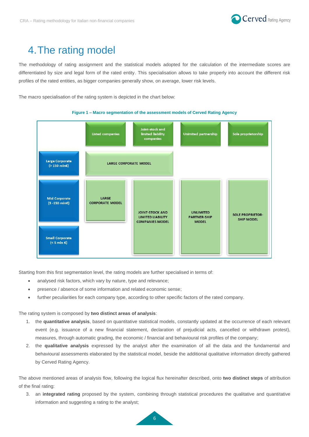

### <span id="page-5-0"></span>4.The rating model

The methodology of rating assignment and the statistical models adopted for the calculation of the intermediate scores are differentiated by size and legal form of the rated entity. This specialisation allows to take properly into account the different risk profiles of the rated entities, as bigger companies generally show, on average, lower risk levels.

The macro specialisation of the rating system is depicted in the chart below:





Starting from this first segmentation level, the rating models are further specialised in terms of:

- analysed risk factors, which vary by nature, type and relevance;
- presence / absence of some information and related economic sense;
- further peculiarities for each company type, according to other specific factors of the rated company.

The rating system is composed by **two distinct areas of analysis**:

- 1. the **quantitative analysis**, based on quantitative statistical models, constantly updated at the occurrence of each relevant event (e.g. issuance of a new financial statement, declaration of prejudicial acts, cancelled or withdrawn protest), measures, through automatic grading, the economic / financial and behavioural risk profiles of the company;
- 2. the **qualitative analysis** expressed by the analyst after the examination of all the data and the fundamental and behavioural assessments elaborated by the statistical model, beside the additional qualitative information directly gathered by Cerved Rating Agency.

The above mentioned areas of analysis flow, following the logical flux hereinafter described, onto **two distinct steps** of attribution of the final rating:

3. an **integrated rating** proposed by the system, combining through statistical procedures the qualitative and quantitative information and suggesting a rating to the analyst;

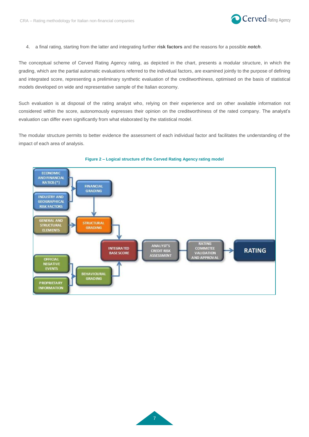

4. a final rating, starting from the latter and integrating further **risk factors** and the reasons for a possible *notch*.

The conceptual scheme of Cerved Rating Agency rating, as depicted in the chart, presents a modular structure, in which the grading, which are the partial automatic evaluations referred to the individual factors, are examined jointly to the purpose of defining and integrated score, representing a preliminary synthetic evaluation of the creditworthiness, optimised on the basis of statistical models developed on wide and representative sample of the Italian economy.

Such evaluation is at disposal of the rating analyst who, relying on their experience and on other available information not considered within the score, autonomously expresses their opinion on the creditworthiness of the rated company. The analyst's evaluation can differ even significantly from what elaborated by the statistical model.

The modular structure permits to better evidence the assessment of each individual factor and facilitates the understanding of the impact of each area of analysis.



#### **Figure 2 – Logical structure of the Cerved Rating Agency rating model**

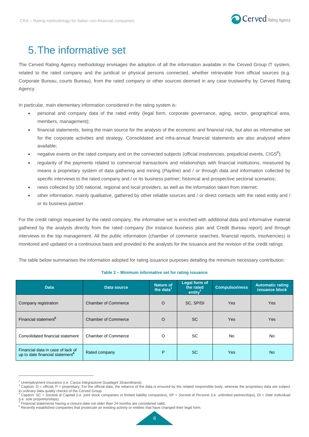

### <span id="page-7-0"></span>5.The informative set

The Cerved Rating Agency methodology envisages the adoption of all the information available in the Cerved Group IT system, related to the rated company and the juridical or physical persons connected, whether retrievable from official sources (e.g. Corporate Bureau, courts Bureau), from the rated company or other sources deemed in any case trustworthy by Cerved Rating Agency.

In particular, main elementary information considered in the rating system is:

- personal and company data of the rated entity (legal form, corporate governance, aging, sector, geographical area, members, management);
- financial statements, being the main source for the analysis of the economic and financial risk, but also as informative set for the corporate activities and strategy. Consolidated and infra-annual financial statements are also analysed where available;
- negative events on the rated company and on the connected subjects (official insolvencies, prejudicial events, CIGS<sup>2</sup>);
- regularity of the payments related to commercial transactions and relationships with financial institutions, measured by means a proprietary system of data gathering and mining (*Payline*) and / or through data and information collected by specific interviews to the rated company and / or its business partner; historical and prospective sectorial scenarios;
- news collected by 100 national, regional and local providers, as well as the information taken from internet;
- other information, mainly qualitative, gathered by other reliable sources and / or direct contacts with the rated entity and / or its business partner.

For the credit ratings requested by the rated company, the informative set is enriched with additional data and informative material gathered by the analysts directly from the rated company (for instance business plan and Credit Bureau report) and through interviews to the top management. All the public information (chamber of commerce searches, financial reports, insolvencies) is monitored and updated on a continuous basis and provided to the analysts for the issuance and the revision of the credit ratings.

The table below summarises the information adopted for rating issuance purposes detailing the minimum necessary contribution:

#### **Table 2 – Minimum informative set for rating issuance**

| <b>Data</b>                                                                      | Data source                | <b>Nature of</b><br>the data <sup>3</sup> | Legal form of<br>the rated<br>entity <sup>4</sup> | <b>Compulsoriness</b> | <b>Automatic rating</b><br>issuance block |
|----------------------------------------------------------------------------------|----------------------------|-------------------------------------------|---------------------------------------------------|-----------------------|-------------------------------------------|
| Company registration                                                             | <b>Chamber of Commerce</b> | $\circ$                                   | SC, SP/DI                                         | <b>Yes</b>            | <b>Yes</b>                                |
| Financial statement <sup>5</sup>                                                 | <b>Chamber of Commerce</b> | $\circ$                                   | <b>SC</b>                                         | <b>Yes</b>            | <b>Yes</b>                                |
| Consolidated financial statement                                                 | <b>Chamber of Commerce</b> | O                                         | <b>SC</b>                                         | No                    | <b>No</b>                                 |
| Financial data in case of lack of<br>up to date financial statement <sup>6</sup> | Rated company              | P                                         | <b>SC</b>                                         | <b>Yes</b>            | <b>No</b>                                 |

<sup>2</sup> Unemployment insurance (i.e. *Cassa Integrazione Guadagni Straordinaria*).

 $\overline{a}$ 

<sup>3</sup> Caption: O = official, P = proprietary. For the official data, the reliance of the data is ensured by the related responsible body, whereas the proprietary data are subject to ordinary data quality checks of the Cerved Group.

<sup>4</sup> Caption: SC = *Società di Capitali* (i.e. joint stock companies or limited liability companies), SP = *Società di Persone* (i.e. unlimited partnerships), DI = *Ditte Individuali* (i.e. sole proprietorships).<br><sup>5</sup> Einaneigl stetemente boy

Financial statements having a closure date not older than 24 months are considered valid.

 $6$  Recently established companies that prosecute an existing activity or entities that have changed their legal form.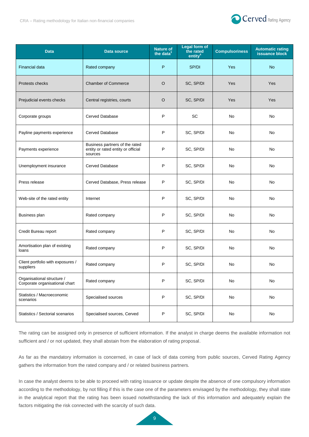

| <b>Data</b>                                                  | <b>Data source</b>                                                              | <b>Nature of</b><br>the data $3$ | <b>Legal form of</b><br>the rated<br>entity <sup>4</sup> | <b>Compulsoriness</b> | <b>Automatic rating</b><br>issuance block |
|--------------------------------------------------------------|---------------------------------------------------------------------------------|----------------------------------|----------------------------------------------------------|-----------------------|-------------------------------------------|
| Financial data                                               | Rated company                                                                   | P                                | SP/DI                                                    | Yes                   | <b>No</b>                                 |
| Protests checks                                              | <b>Chamber of Commerce</b>                                                      | $\circ$                          | SC, SP/DI                                                | Yes                   | Yes                                       |
| Prejudicial events checks                                    | Central registries, courts                                                      | $\circ$                          | SC, SP/DI                                                | Yes                   | Yes                                       |
| Corporate groups                                             | <b>Cerved Database</b>                                                          | P                                | SC                                                       | No                    | No                                        |
| Payline payments experience                                  | <b>Cerved Database</b>                                                          | P                                | SC, SP/DI                                                | No                    | No                                        |
| Payments experience                                          | Business partners of the rated<br>entity or rated entity or official<br>sources | P                                | SC, SP/DI                                                | No                    | No.                                       |
| Unemployment insurance                                       | <b>Cerved Database</b>                                                          | P                                | SC, SP/DI                                                | No                    | <b>No</b>                                 |
| Press release                                                | Cerved Database, Press release                                                  | P                                | SC, SP/DI                                                | No                    | No                                        |
| Web-site of the rated entity                                 | Internet                                                                        | P                                | SC, SP/DI                                                | No                    | No                                        |
| <b>Business plan</b>                                         | Rated company                                                                   | P                                | SC, SP/DI                                                | No                    | No                                        |
| Credit Bureau report                                         | Rated company                                                                   | P                                | SC, SP/DI                                                | No                    | No                                        |
| Amortisation plan of existing<br>loans                       | Rated company                                                                   | P                                | SC, SP/DI                                                | No                    | No                                        |
| Client portfolio with exposures /<br>suppliers               | Rated company                                                                   | P                                | SC, SP/DI                                                | No                    | <b>No</b>                                 |
| Organisational structure /<br>Corporate organisational chart | Rated company                                                                   | P                                | SC, SP/DI                                                | No                    | No                                        |
| Statistics / Macroeconomic<br>scenarios                      | Specialised sources                                                             | P                                | SC, SP/DI                                                | No                    | No                                        |
| Statistics / Sectorial scenarios                             | Specialised sources, Cerved                                                     | P                                | SC, SP/DI                                                | No                    | No                                        |

The rating can be assigned only in presence of sufficient information. If the analyst in charge deems the available information not sufficient and / or not updated, they shall abstain from the elaboration of rating proposal.

As far as the mandatory information is concerned, in case of lack of data coming from public sources, Cerved Rating Agency gathers the information from the rated company and / or related business partners*.*

In case the analyst deems to be able to proceed with rating issuance or update despite the absence of one compulsory information according to the methodology, by not filling if this is the case one of the parameters envisaged by the methodology, they shall state in the analytical report that the rating has been issued notwithstanding the lack of this information and adequately explain the factors mitigating the risk connected with the scarcity of such data.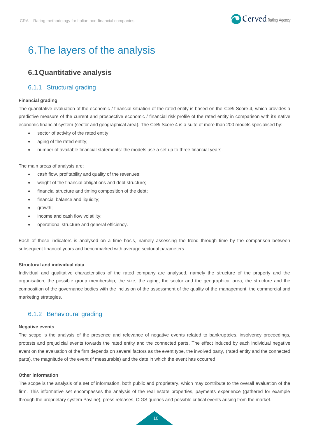

# <span id="page-9-0"></span>6.The layers of the analysis

### <span id="page-9-1"></span>**6.1Quantitative analysis**

### <span id="page-9-2"></span>6.1.1 Structural grading

#### **Financial grading**

The quantitative evaluation of the economic / financial situation of the rated entity is based on the CeBi Score 4, which provides a predictive measure of the current and prospective economic / financial risk profile of the rated entity in comparison with its native economic financial system (sector and geographical area). The CeBi Score 4 is a suite of more than 200 models specialised by:

- sector of activity of the rated entity;
- aging of the rated entity;
- number of available financial statements: the models use a set up to three financial years.

The main areas of analysis are:

- cash flow, profitability and quality of the revenues;
- weight of the financial obligations and debt structure;
- financial structure and timing composition of the debt;
- financial balance and liquidity;
- growth;
- income and cash flow volatility;
- operational structure and general efficiency.

Each of these indicators is analysed on a time basis, namely assessing the trend through time by the comparison between subsequent financial years and benchmarked with average sectorial parameters.

#### **Structural and individual data**

Individual and qualitative characteristics of the rated company are analysed, namely the structure of the property and the organisation, the possible group membership, the size, the aging, the sector and the geographical area, the structure and the composition of the governance bodies with the inclusion of the assessment of the quality of the management, the commercial and marketing strategies.

#### <span id="page-9-3"></span>6.1.2 Behavioural grading

#### **Negative events**

The scope is the analysis of the presence and relevance of negative events related to bankruptcies, insolvency proceedings, protests and prejudicial events towards the rated entity and the connected parts. The effect induced by each individual negative event on the evaluation of the firm depends on several factors as the event type, the involved party, (rated entity and the connected parts), the magnitude of the event (if measurable) and the date in which the event has occurred.

#### **Other information**

The scope is the analysis of a set of information, both public and proprietary, which may contribute to the overall evaluation of the firm. This informative set encompasses the analysis of the real estate properties, payments experience (gathered for example through the proprietary system Payline), press releases, CIGS queries and possible critical events arising from the market.

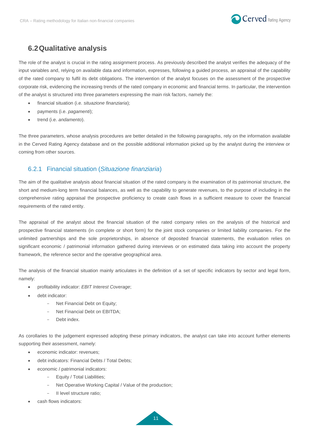

### <span id="page-10-0"></span>**6.2Qualitative analysis**

The role of the analyst is crucial in the rating assignment process. As previously described the analyst verifies the adequacy of the input variables and, relying on available data and information, expresses, following a guided process, an appraisal of the capability of the rated company to fulfil its debt obligations. The intervention of the analyst focuses on the assessment of the prospective corporate risk, evidencing the increasing trends of the rated company in economic and financial terms. In particular, the intervention of the analyst is structured into three parameters expressing the main risk factors, namely the:

- financial situation (i.e. *situazione finanziaria*);
- payments (i.e. *pagamenti*);
- trend (i.e. *andamento*).

The three parameters, whose analysis procedures are better detailed in the following paragraphs, rely on the information available in the Cerved Rating Agency database and on the possible additional information picked up by the analyst during the interview or coming from other sources.

### <span id="page-10-1"></span>6.2.1 Financial situation (*Situazione finanziaria*)

The aim of the qualitative analysis about financial situation of the rated company is the examination of its patrimonial structure, the short and medium-long term financial balances, as well as the capability to generate revenues, to the purpose of including in the comprehensive rating appraisal the prospective proficiency to create cash flows in a sufficient measure to cover the financial requirements of the rated entity.

The appraisal of the analyst about the financial situation of the rated company relies on the analysis of the historical and prospective financial statements (in complete or short form) for the joint stock companies or limited liability companies. For the unlimited partnerships and the sole proprietorships, in absence of deposited financial statements, the evaluation relies on significant economic / patrimonial information gathered during interviews or on estimated data taking into account the property framework, the reference sector and the operative geographical area.

The analysis of the financial situation mainly articulates in the definition of a set of specific indicators by sector and legal form, namely:

- profitability indicator: *EBIT Interest Coverage*;
- debt indicator:
	- Net Financial Debt on Equity;
	- Net Financial Debt on EBITDA:
	- Debt index.

As corollaries to the judgement expressed adopting these primary indicators, the analyst can take into account further elements supporting their assessment, namely:

- economic indicator: revenues;
- debt indicators: Financial Debts / Total Debts;
- economic / patrimonial indicators:
	- Equity / Total Liabilities;
	- Net Operative Working Capital / Value of the production;
	- II level structure ratio;
- cash flows indicators:

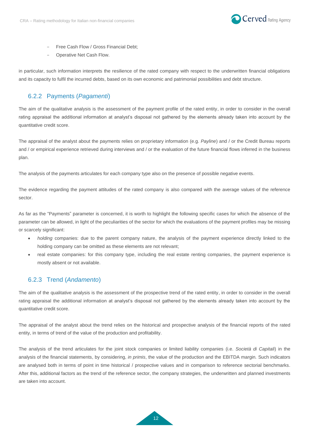

- Free Cash Flow / Gross Financial Debt;
- Operative Net Cash Flow.

in particular, such information interprets the resilience of the rated company with respect to the underwritten financial obligations and its capacity to fulfil the incurred debts, based on its own economic and patrimonial possibilities and debt structure.

#### <span id="page-11-0"></span>6.2.2 Payments (*Pagamenti*)

The aim of the qualitative analysis is the assessment of the payment profile of the rated entity, in order to consider in the overall rating appraisal the additional information at analyst's disposal not gathered by the elements already taken into account by the quantitative credit score.

The appraisal of the analyst about the payments relies on proprietary information (e.g. *Payline*) and / or the Credit Bureau reports and / or empirical experience retrieved during interviews and / or the evaluation of the future financial flows inferred in the business plan.

The analysis of the payments articulates for each company type also on the presence of possible negative events.

The evidence regarding the payment attitudes of the rated company is also compared with the average values of the reference sector.

As far as the "Payments" parameter is concerned, it is worth to highlight the following specific cases for which the absence of the parameter can be allowed, in light of the peculiarities of the sector for which the evaluations of the payment profiles may be missing or scarcely significant:

- *holding* companies: due to the parent company nature, the analysis of the payment experience directly linked to the holding company can be omitted as these elements are not relevant;
- real estate companies: for this company type, including the real estate renting companies, the payment experience is mostly absent or not available.

#### <span id="page-11-1"></span>6.2.3 Trend (*Andamento*)

The aim of the qualitative analysis is the assessment of the prospective trend of the rated entity, in order to consider in the overall rating appraisal the additional information at analyst's disposal not gathered by the elements already taken into account by the quantitative credit score.

The appraisal of the analyst about the trend relies on the historical and prospective analysis of the financial reports of the rated entity, in terms of trend of the value of the production and profitability.

The analysis of the trend articulates for the joint stock companies or limited liability companies (i.e. *Società di Capitali*) in the analysis of the financial statements, by considering, *in primis*, the value of the production and the EBITDA margin*.* Such indicators are analysed both in terms of point in time historical / prospective values and in comparison to reference sectorial benchmarks. After this, additional factors as the trend of the reference sector, the company strategies, the underwritten and planned investments are taken into account.

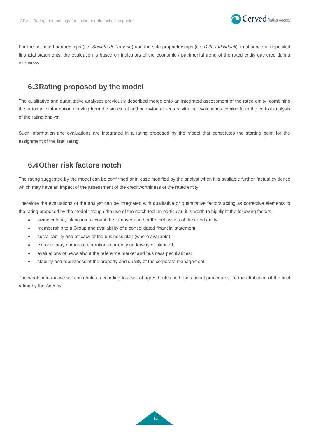

For the unlimited partnerships (i.e. *Società di Persone*) and the sole proprietorships (i.e. *Ditte Individuali*), in absence of deposited financial statements, the evaluation is based on indicators of the economic / patrimonial trend of the rated entity gathered during interviews.

### <span id="page-12-0"></span>**6.3Rating proposed by the model**

The qualitative and quantitative analyses previously described merge onto an integrated assessment of the rated entity, combining the automatic information deriving from the structural and behavioural scores with the evaluations coming from the critical analysis of the rating analyst.

Such information and evaluations are integrated in a rating proposed by the model that constitutes the starting point for the assignment of the final rating.

### <span id="page-12-1"></span>**6.4Other risk factors notch**

The rating suggested by the model can be confirmed or in case modified by the analyst when it is available further factual evidence which may have an impact of the assessment of the creditworthiness of the rated entity.

Therefore the evaluations of the analyst can be integrated with qualitative or quantitative factors acting as corrective elements to the rating proposed by the model through the use of the notch tool. In particular, it is worth to highlight the following factors:

- sizing criteria, taking into account the turnover and / or the net assets of the rated entity;
- membership to a Group and availability of a consolidated financial statement;
- sustainability and efficacy of the business plan (where available);
- extraordinary corporate operations currently underway or planned;
- evaluations of news about the reference market and business peculiarities;
- stability and robustness of the property and quality of the corporate management.

The whole informative set contributes, according to a set of agreed rules and operational procedures, to the attribution of the final rating by the Agency.

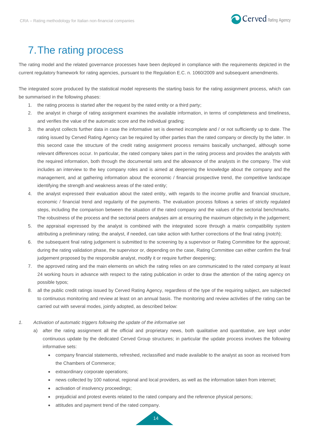

# <span id="page-13-0"></span>7.The rating process

The rating model and the related governance processes have been deployed in compliance with the requirements depicted in the current regulatory framework for rating agencies, pursuant to the Regulation E.C. n. 1060/2009 and subsequent amendments.

The integrated score produced by the statistical model represents the starting basis for the rating assignment process, which can be summarised in the following phases:

- 1. the rating process is started after the request by the rated entity or a third party;
- 2. the analyst in charge of rating assignment examines the available information, in terms of completeness and timeliness, and verifies the value of the automatic score and the individual grading*;*
- 3. the analyst collects further data in case the informative set is deemed incomplete and / or not sufficiently up to date. The rating issued by Cerved Rating Agency can be required by other parties than the rated company or directly by the latter. In this second case the structure of the credit rating assignment process remains basically unchanged, although some relevant differences occur. In particular, the rated company takes part in the rating process and provides the analysts with the required information, both through the documental sets and the allowance of the analysts in the company. The visit includes an interview to the key company roles and is aimed at deepening the knowledge about the company and the management, and at gathering information about the economic / financial prospective trend, the competitive landscape identifying the strength and weakness areas of the rated entity;
- 4. the analyst expressed their evaluation about the rated entity, with regards to the income profile and financial structure, economic / financial trend and regularity of the payments. The evaluation process follows a series of strictly regulated steps, including the comparison between the situation of the rated company and the values of the sectorial benchmarks. The robustness of the process and the sectorial peers analyses aim at ensuring the maximum objectivity in the judgement;
- 5. the appraisal expressed by the analyst is combined with the integrated score through a matrix compatibility system attributing a preliminary rating; the analyst, if needed, can take action with further corrections of the final rating (*notch*);
- 6. the subsequent final rating judgement is submitted to the screening by a supervisor or Rating Committee for the approval; during the rating validation phase, the supervisor or, depending on the case, Rating Committee can either confirm the final judgement proposed by the responsible analyst, modify it or require further deepening;
- 7. the approved rating and the main elements on which the rating relies on are communicated to the rated company at least 24 working hours in advance with respect to the rating publication in order to draw the attention of the rating agency on possible typos;
- 8. all the public credit ratings issued by Cerved Rating Agency, regardless of the type of the requiring subject, are subjected to continuous monitoring and review at least on an annual basis. The monitoring and review activities of the rating can be carried out with several modes, jointly adopted, as described below:
- *1. Activation of automatic triggers following the update of the informative set* 
	- a) after the rating assignment all the official and proprietary news, both qualitative and quantitative, are kept under continuous update by the dedicated Cerved Group structures; in particular the update process involves the following informative sets:
		- company financial statements, refreshed, reclassified and made available to the analyst as soon as received from the Chambers of Commerce;
		- extraordinary corporate operations;
		- news collected by 100 national, regional and local providers, as well as the information taken from internet;
		- activation of [insolvency proceedings;](https://context.reverso.net/traduzione/inglese-italiano/insolvency+proceedings)
		- prejudicial and protest events related to the rated company and the reference physical persons;
		- attitudes and payment trend of the rated company.